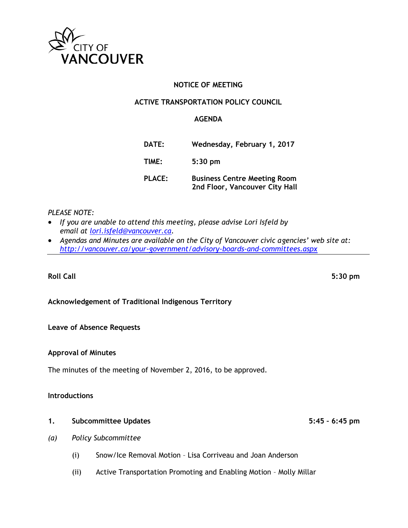

# **NOTICE OF MEETING**

## **ACTIVE TRANSPORTATION POLICY COUNCIL**

## **AGENDA**

| <b>DATE:</b>  | Wednesday, February 1, 2017                                           |
|---------------|-----------------------------------------------------------------------|
| TIME:         | $5:30$ pm                                                             |
| <b>PLACE:</b> | <b>Business Centre Meeting Room</b><br>2nd Floor, Vancouver City Hall |

### *PLEASE NOTE:*

- *If you are unable to attend this meeting, please advise Lori Isfeld by email at [lori.isfeld@vancouver.ca.](mailto:lori.isfeld@vancouver.ca)*
- *Agendas and Minutes are available on the City of Vancouver civic agencies' web site at: <http://vancouver.ca/your-government/advisory-boards-and-committees.aspx>*

#### **Roll Call 5:30 pm**

# **Acknowledgement of Traditional Indigenous Territory**

#### **Leave of Absence Requests**

#### **Approval of Minutes**

The minutes of the meeting of November 2, 2016, to be approved.

#### **Introductions**

#### **1. Subcommittee Updates 5:45 – 6:45 pm**

- *(a) Policy Subcommittee*
	- (i) Snow/Ice Removal Motion Lisa Corriveau and Joan Anderson
	- (ii) Active Transportation Promoting and Enabling Motion Molly Millar